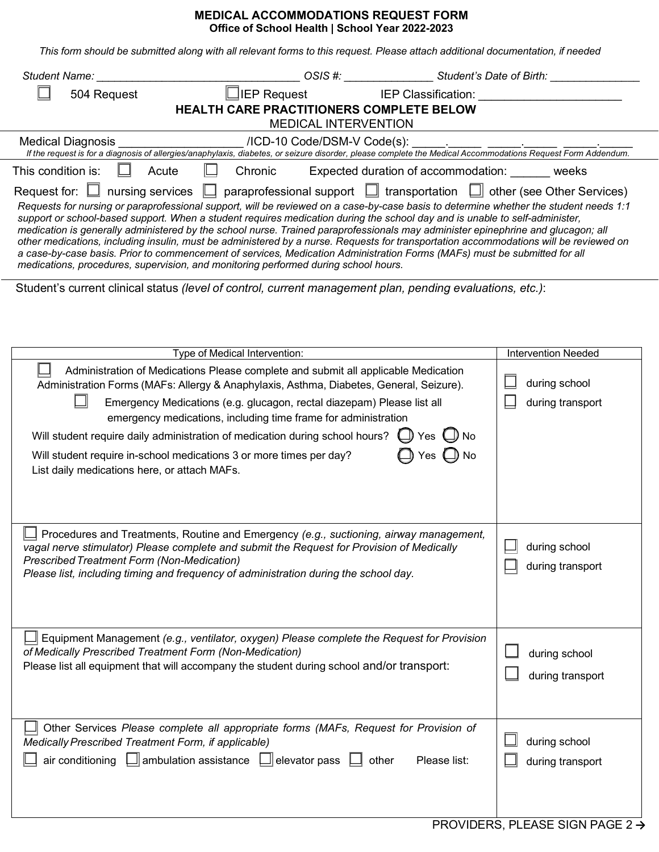## **MEDICAL ACCOMMODATIONS REQUEST FORM Office of School Health | School Year 2022-2023**

*This form should be submitted along with all relevant forms to this request. Please attach additional documentation, if needed* 

|                                                                                                                                                                                                                                                                                                                                                                                                                                                                                                                                                                                                                                                                                                                                                                                                                                                                                                       |                                                                                                                                          |                                           | OSIS #: _______________________Student's Date of Birth: ________________________ |  |  |  |  |  |
|-------------------------------------------------------------------------------------------------------------------------------------------------------------------------------------------------------------------------------------------------------------------------------------------------------------------------------------------------------------------------------------------------------------------------------------------------------------------------------------------------------------------------------------------------------------------------------------------------------------------------------------------------------------------------------------------------------------------------------------------------------------------------------------------------------------------------------------------------------------------------------------------------------|------------------------------------------------------------------------------------------------------------------------------------------|-------------------------------------------|----------------------------------------------------------------------------------|--|--|--|--|--|
| 504 Request                                                                                                                                                                                                                                                                                                                                                                                                                                                                                                                                                                                                                                                                                                                                                                                                                                                                                           |                                                                                                                                          |                                           |                                                                                  |  |  |  |  |  |
|                                                                                                                                                                                                                                                                                                                                                                                                                                                                                                                                                                                                                                                                                                                                                                                                                                                                                                       | HEALTH CARE PRACTITIONERS COMPLETE BELOW<br><b>MEDICAL INTERVENTION</b>                                                                  |                                           |                                                                                  |  |  |  |  |  |
| <b>Medical Diagnosis</b>                                                                                                                                                                                                                                                                                                                                                                                                                                                                                                                                                                                                                                                                                                                                                                                                                                                                              |                                                                                                                                          |                                           |                                                                                  |  |  |  |  |  |
| This condition is:<br>Acute                                                                                                                                                                                                                                                                                                                                                                                                                                                                                                                                                                                                                                                                                                                                                                                                                                                                           | Chronic                                                                                                                                  | Expected duration of accommodation: weeks |                                                                                  |  |  |  |  |  |
| Request for: $\Box$ nursing services $\Box$ paraprofessional support $\Box$ transportation $\Box$ other (see Other Services)<br>Requests for nursing or paraprofessional support, will be reviewed on a case-by-case basis to determine whether the student needs 1:1<br>support or school-based support. When a student requires medication during the school day and is unable to self-administer,<br>medication is generally administered by the school nurse. Trained paraprofessionals may administer epinephrine and glucagon; all<br>other medications, including insulin, must be administered by a nurse. Requests for transportation accommodations will be reviewed on<br>a case-by-case basis. Prior to commencement of services, Medication Administration Forms (MAFs) must be submitted for all<br>medications, procedures, supervision, and monitoring performed during school hours. |                                                                                                                                          |                                           |                                                                                  |  |  |  |  |  |
| Student's current clinical status (level of control, current management plan, pending evaluations, etc.):                                                                                                                                                                                                                                                                                                                                                                                                                                                                                                                                                                                                                                                                                                                                                                                             |                                                                                                                                          |                                           |                                                                                  |  |  |  |  |  |
|                                                                                                                                                                                                                                                                                                                                                                                                                                                                                                                                                                                                                                                                                                                                                                                                                                                                                                       |                                                                                                                                          |                                           |                                                                                  |  |  |  |  |  |
|                                                                                                                                                                                                                                                                                                                                                                                                                                                                                                                                                                                                                                                                                                                                                                                                                                                                                                       | Type of Medical Intervention:                                                                                                            |                                           | <b>Intervention Needed</b>                                                       |  |  |  |  |  |
| Administration of Medications Please complete and submit all applicable Medication<br>Administration Forms (MAFs: Allergy & Anaphylaxis, Asthma, Diabetes, General, Seizure).<br>Will student require daily administration of medication during school hours? $\Box$ Yes $\Box$<br>Will student require in-school medications 3 or more times per day?<br>List daily medications here, or attach MAFs.<br>Procedures and Treatments, Routine and Emergency (e.g., suctioning, airway management,<br>vagal nerve stimulator) Please complete and submit the Request for Provision of Medically<br><b>Prescribed Treatment Form (Non-Medication)</b><br>Please list, including timing and frequency of administration during the school day.                                                                                                                                                            | Emergency Medications (e.g. glucagon, rectal diazepam) Please list all<br>emergency medications, including time frame for administration | $\Box$ Yes $\Box$ No                      | during school<br>during transport<br>$\Box$ during school<br>during transport    |  |  |  |  |  |
| Equipment Management (e.g., ventilator, oxygen) Please complete the Request for Provision<br>of Medically Prescribed Treatment Form (Non-Medication)<br>Please list all equipment that will accompany the student during school and/or transport:                                                                                                                                                                                                                                                                                                                                                                                                                                                                                                                                                                                                                                                     |                                                                                                                                          |                                           | during school<br>during transport                                                |  |  |  |  |  |
| Other Services Please complete all appropriate forms (MAFs, Request for Provision of<br>Medically Prescribed Treatment Form, if applicable)<br>air conditioning $\Box$ ambulation assistance $\Box$ elevator pass $\Box$                                                                                                                                                                                                                                                                                                                                                                                                                                                                                                                                                                                                                                                                              |                                                                                                                                          | Please list:<br>other                     | during school<br>during transport                                                |  |  |  |  |  |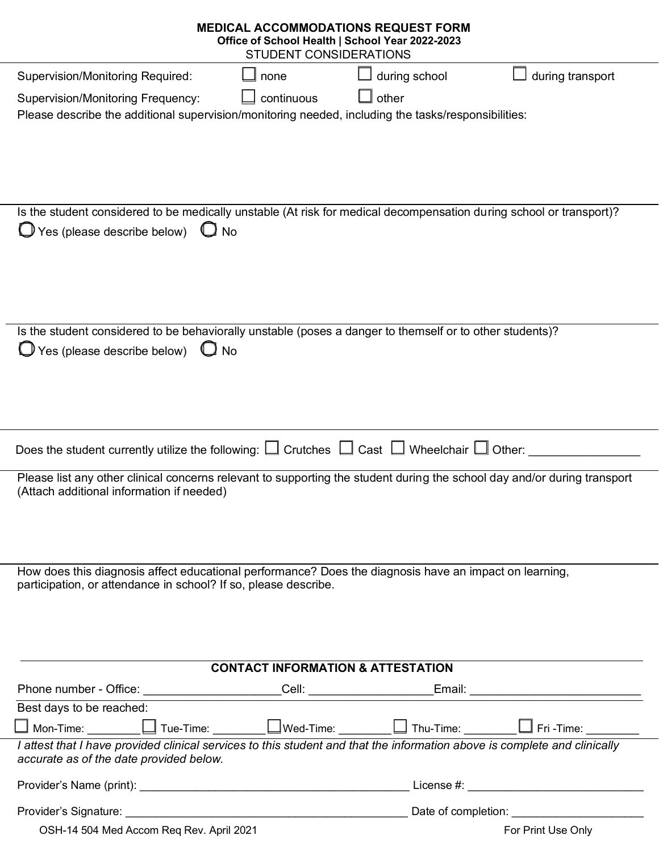| <b>MEDICAL ACCOMMODATIONS REQUEST FORM</b><br>Office of School Health   School Year 2022-2023<br>STUDENT CONSIDERATIONS                                                   |                                                                                                                                                    |
|---------------------------------------------------------------------------------------------------------------------------------------------------------------------------|----------------------------------------------------------------------------------------------------------------------------------------------------|
| <b>Supervision/Monitoring Required:</b><br>none                                                                                                                           | during school<br>during transport                                                                                                                  |
| continuous<br><b>Supervision/Monitoring Frequency:</b><br>Please describe the additional supervision/monitoring needed, including the tasks/responsibilities:             | other                                                                                                                                              |
|                                                                                                                                                                           |                                                                                                                                                    |
| Is the student considered to be medically unstable (At risk for medical decompensation during school or transport)?<br>$\Box$ Yes (please describe below) $\Box$ No       |                                                                                                                                                    |
| Is the student considered to be behaviorally unstable (poses a danger to themself or to other students)?<br>$\Box$ Yes (please describe below)<br>$\mathbf{U}$ No         |                                                                                                                                                    |
| Does the student currently utilize the following: $\square$ Crutches $\square$ Cast $\square$ Wheelchair $\square$ Other:                                                 |                                                                                                                                                    |
| Please list any other clinical concerns relevant to supporting the student during the school day and/or during transport<br>(Attach additional information if needed)     |                                                                                                                                                    |
| How does this diagnosis affect educational performance? Does the diagnosis have an impact on learning,<br>participation, or attendance in school? If so, please describe. |                                                                                                                                                    |
| <b>CONTACT INFORMATION &amp; ATTESTATION</b>                                                                                                                              |                                                                                                                                                    |
|                                                                                                                                                                           | <u>_Cell: ________________________Email: ___</u>                                                                                                   |
| Best days to be reached:                                                                                                                                                  |                                                                                                                                                    |
| $\Box$ Mon-Time: $\_$                                                                                                                                                     | $\boxed{\Box}$ Tue-Time: $\boxed{\phantom{\Box}}$ Wed-Time: $\boxed{\phantom{\Box}}$ Thu-Time: $\boxed{\phantom{\Box}}$ Fri-Time: $\phantom{\Box}$ |
| I attest that I have provided clinical services to this student and that the information above is complete and clinically<br>accurate as of the date provided below.      |                                                                                                                                                    |
|                                                                                                                                                                           |                                                                                                                                                    |
|                                                                                                                                                                           |                                                                                                                                                    |
| OSH-14 504 Med Accom Req Rev. April 2021                                                                                                                                  | For Print Use Only                                                                                                                                 |